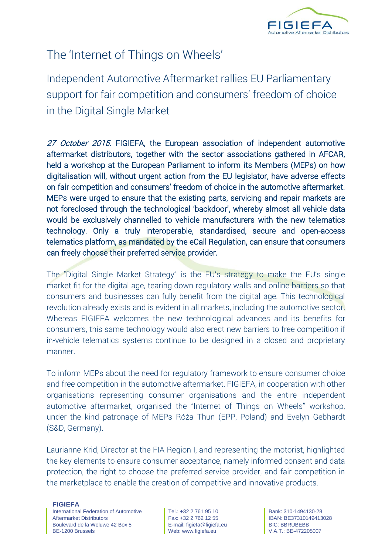

# The 'Internet of Things on Wheels'

Independent Automotive Aftermarket rallies EU Parliamentary support for fair competition and consumers' freedom of choice in the Digital Single Market

27 October 2015. FIGIEFA, the European association of independent automotive aftermarket distributors, together with the sector associations gathered in AFCAR, held a workshop at the European Parliament to inform its Members (MEPs) on how digitalisation will, without urgent action from the EU legislator, have adverse effects on fair competition and consumers' freedom of choice in the automotive aftermarket. MEPs were urged to ensure that the existing parts, servicing and repair markets are not foreclosed through the technological 'backdoor', whereby almost all vehicle data would be exclusively channelled to vehicle manufacturers with the new telematics technology. Only a truly interoperable, standardised, secure and open-access telematics platform, as mandated by the eCall Regulation, can ensure that consumers can freely choose their preferred service provider.

The "Digital Single Market Strategy" is the EU's strategy to make the EU's single market fit for the digital age, tearing down regulatory walls and online barriers so that consumers and businesses can fully benefit from the digital age. This technological revolution already exists and is evident in all markets, including the automotive sector. Whereas FIGIEFA welcomes the new technological advances and its benefits for consumers, this same technology would also erect new barriers to free competition if in-vehicle telematics systems continue to be designed in a closed and proprietary manner.

To inform MEPs about the need for regulatory framework to ensure consumer choice and free competition in the automotive aftermarket, FIGIEFA, in cooperation with other organisations representing consumer organisations and the entire independent automotive aftermarket, organised the "Internet of Things on Wheels" workshop, under the kind patronage of MEPs Róża Thun (EPP, Poland) and Evelyn Gebhardt (S&D, Germany).

Laurianne Krid, Director at the FIA Region I, and representing the motorist, highlighted the key elements to ensure consumer acceptance, namely informed consent and data protection, the right to choose the preferred service provider, and fair competition in the marketplace to enable the creation of competitive and innovative products.

**FIGIEFA**

International Federation of Automotive Aftermarket Distributors Boulevard de la Woluwe 42 Box 5 BE-1200 Brussels

Tel.: +32 2 761 95 10 Fax: +32 2 762 12 55 E-mail: figiefa@figiefa.eu Web: www.figiefa.eu

Bank: 310-1494130-28 IBAN: BE37310149413028 BIC: BBRUBEBB V.A.T.: BE-472205007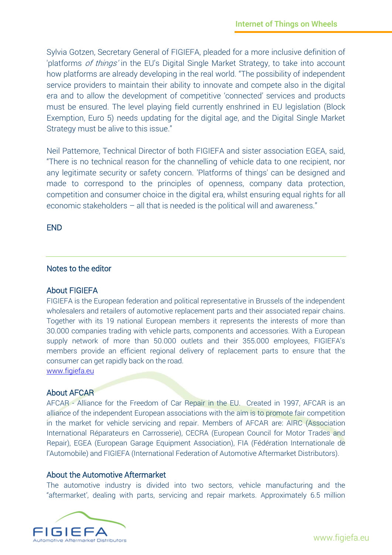Sylvia Gotzen, Secretary General of FIGIEFA, pleaded for a more inclusive definition of 'platforms of things' in the EU's Digital Single Market Strategy, to take into account how platforms are already developing in the real world. "The possibility of independent service providers to maintain their ability to innovate and compete also in the digital era and to allow the development of competitive 'connected' services and products must be ensured. The level playing field currently enshrined in EU legislation (Block Exemption, Euro 5) needs updating for the digital age, and the Digital Single Market Strategy must be alive to this issue."

Neil Pattemore, Technical Director of both FIGIEFA and sister association EGEA, said, "There is no technical reason for the channelling of vehicle data to one recipient, nor any legitimate security or safety concern. 'Platforms of things' can be designed and made to correspond to the principles of openness, company data protection, competition and consumer choice in the digital era, whilst ensuring equal rights for all economic stakeholders – all that is needed is the political will and awareness."

END

### Notes to the editor

#### About FIGIEFA

FIGIEFA is the European federation and political representative in Brussels of the independent wholesalers and retailers of automotive replacement parts and their associated repair chains. Together with its 19 national European members it represents the interests of more than 30.000 companies trading with vehicle parts, components and accessories. With a European supply network of more than 50.000 outlets and their 355.000 employees, FIGIEFA's members provide an efficient regional delivery of replacement parts to ensure that the consumer can get rapidly back on the road.

[www.figiefa.eu](http://www.figiefa.eu/)

# About AFCAR

AFCAR - Alliance for the Freedom of Car Repair in the EU. Created in 1997, AFCAR is an alliance of the independent European associations with the aim is to promote fair competition in the market for vehicle servicing and repair. Members of AFCAR are: AIRC (Association International Réparateurs en Carrosserie), CECRA (European Council for Motor Trades and Repair), EGEA (European Garage Equipment Association), FIA (Fédération Internationale de l'Automobile) and FIGIEFA (International Federation of Automotive Aftermarket Distributors).

#### About the Automotive Aftermarket

The automotive industry is divided into two sectors, vehicle manufacturing and the "aftermarket', dealing with parts, servicing and repair markets. Approximately 6.5 million